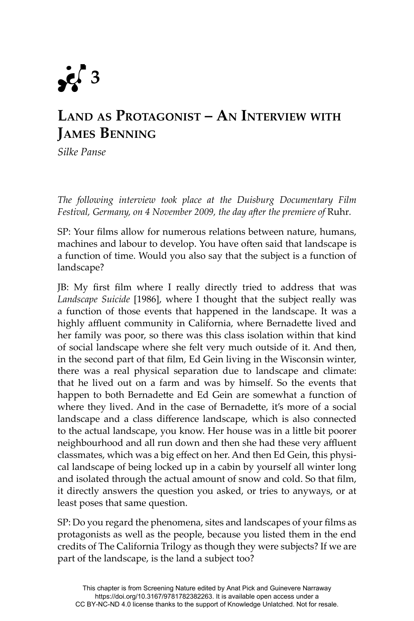

## **Land as Protagonist – An Interview with James Benning**

*Silke Panse*

*The following interview took place at the Duisburg Documentary Film Festival, Germany, on 4 November 2009, the day after the premiere of* Ruhr*.*

SP: Your films allow for numerous relations between nature, humans, machines and labour to develop. You have often said that landscape is a function of time. Would you also say that the subject is a function of landscape?

JB: My first film where I really directly tried to address that was *Landscape Suicide* [1986], where I thought that the subject really was a function of those events that happened in the landscape. It was a highly affluent community in California, where Bernadette lived and her family was poor, so there was this class isolation within that kind of social landscape where she felt very much outside of it. And then, in the second part of that film, Ed Gein living in the Wisconsin winter, there was a real physical separation due to landscape and climate: that he lived out on a farm and was by himself. So the events that happen to both Bernadette and Ed Gein are somewhat a function of where they lived. And in the case of Bernadette, it's more of a social landscape and a class difference landscape, which is also connected to the actual landscape, you know. Her house was in a little bit poorer neighbourhood and all run down and then she had these very affluent classmates, which was a big effect on her. And then Ed Gein, this physical landscape of being locked up in a cabin by yourself all winter long and isolated through the actual amount of snow and cold. So that film, it directly answers the question you asked, or tries to anyways, or at least poses that same question.

SP: Do you regard the phenomena, sites and landscapes of your films as protagonists as well as the people, because you listed them in the end credits of The California Trilogy as though they were subjects? If we are part of the landscape, is the land a subject too?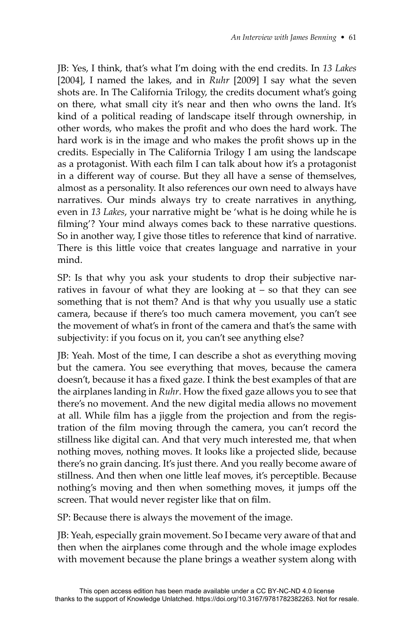JB: Yes, I think, that's what I'm doing with the end credits. In *13 Lakes*  [2004], I named the lakes, and in *Ruhr* [2009] I say what the seven shots are. In The California Trilogy, the credits document what's going on there, what small city it's near and then who owns the land. It's kind of a political reading of landscape itself through ownership, in other words, who makes the profit and who does the hard work. The hard work is in the image and who makes the profit shows up in the credits. Especially in The California Trilogy I am using the landscape as a protagonist. With each film I can talk about how it's a protagonist in a different way of course. But they all have a sense of themselves, almost as a personality. It also references our own need to always have narratives. Our minds always try to create narratives in anything, even in *13 Lakes*, your narrative might be 'what is he doing while he is filming'? Your mind always comes back to these narrative questions. So in another way, I give those titles to reference that kind of narrative. There is this little voice that creates language and narrative in your mind.

SP: Is that why you ask your students to drop their subjective narratives in favour of what they are looking at – so that they can see something that is not them? And is that why you usually use a static camera, because if there's too much camera movement, you can't see the movement of what's in front of the camera and that's the same with subjectivity: if you focus on it, you can't see anything else?

JB: Yeah. Most of the time, I can describe a shot as everything moving but the camera. You see everything that moves, because the camera doesn't, because it has a fixed gaze. I think the best examples of that are the airplanes landing in *Ruhr*. How the fixed gaze allows you to see that there's no movement. And the new digital media allows no movement at all. While film has a jiggle from the projection and from the registration of the film moving through the camera, you can't record the stillness like digital can. And that very much interested me, that when nothing moves, nothing moves. It looks like a projected slide, because there's no grain dancing. It's just there. And you really become aware of stillness. And then when one little leaf moves, it's perceptible. Because nothing's moving and then when something moves, it jumps off the screen. That would never register like that on film.

SP: Because there is always the movement of the image.

JB: Yeah, especially grain movement. So I became very aware of that and then when the airplanes come through and the whole image explodes with movement because the plane brings a weather system along with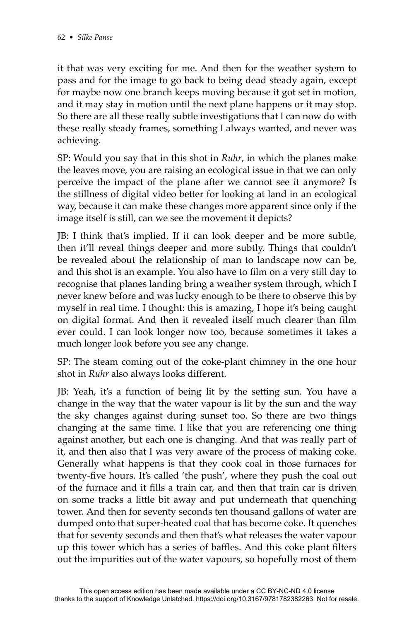it that was very exciting for me. And then for the weather system to pass and for the image to go back to being dead steady again, except for maybe now one branch keeps moving because it got set in motion, and it may stay in motion until the next plane happens or it may stop. So there are all these really subtle investigations that I can now do with these really steady frames, something I always wanted, and never was achieving.

SP: Would you say that in this shot in *Ruhr*, in which the planes make the leaves move, you are raising an ecological issue in that we can only perceive the impact of the plane after we cannot see it anymore? Is the stillness of digital video better for looking at land in an ecological way, because it can make these changes more apparent since only if the image itself is still, can we see the movement it depicts?

JB: I think that's implied. If it can look deeper and be more subtle, then it'll reveal things deeper and more subtly. Things that couldn't be revealed about the relationship of man to landscape now can be, and this shot is an example. You also have to film on a very still day to recognise that planes landing bring a weather system through, which I never knew before and was lucky enough to be there to observe this by myself in real time. I thought: this is amazing, I hope it's being caught on digital format. And then it revealed itself much clearer than film ever could. I can look longer now too, because sometimes it takes a much longer look before you see any change.

SP: The steam coming out of the coke-plant chimney in the one hour shot in *Ruhr* also always looks different.

JB: Yeah, it's a function of being lit by the setting sun. You have a change in the way that the water vapour is lit by the sun and the way the sky changes against during sunset too. So there are two things changing at the same time. I like that you are referencing one thing against another, but each one is changing. And that was really part of it, and then also that I was very aware of the process of making coke. Generally what happens is that they cook coal in those furnaces for twenty-five hours. It's called 'the push', where they push the coal out of the furnace and it fills a train car, and then that train car is driven on some tracks a little bit away and put underneath that quenching tower. And then for seventy seconds ten thousand gallons of water are dumped onto that super-heated coal that has become coke. It quenches that for seventy seconds and then that's what releases the water vapour up this tower which has a series of baffles. And this coke plant filters out the impurities out of the water vapours, so hopefully most of them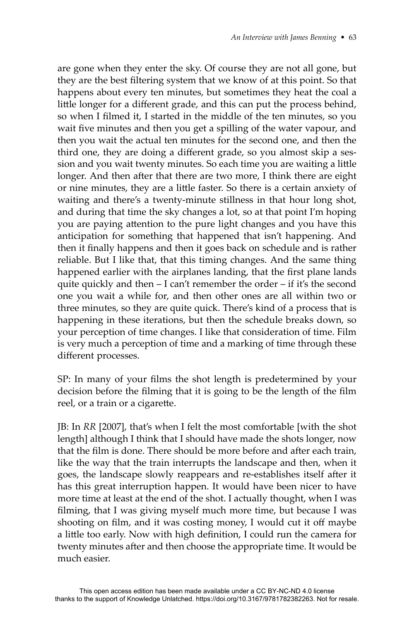are gone when they enter the sky. Of course they are not all gone, but they are the best filtering system that we know of at this point. So that happens about every ten minutes, but sometimes they heat the coal a little longer for a different grade, and this can put the process behind, so when I filmed it, I started in the middle of the ten minutes, so you wait five minutes and then you get a spilling of the water vapour, and then you wait the actual ten minutes for the second one, and then the third one, they are doing a different grade, so you almost skip a session and you wait twenty minutes. So each time you are waiting a little longer. And then after that there are two more, I think there are eight or nine minutes, they are a little faster. So there is a certain anxiety of waiting and there's a twenty-minute stillness in that hour long shot, and during that time the sky changes a lot, so at that point I'm hoping you are paying attention to the pure light changes and you have this anticipation for something that happened that isn't happening. And then it finally happens and then it goes back on schedule and is rather reliable. But I like that, that this timing changes. And the same thing happened earlier with the airplanes landing, that the first plane lands quite quickly and then – I can't remember the order – if it's the second one you wait a while for, and then other ones are all within two or three minutes, so they are quite quick. There's kind of a process that is happening in these iterations, but then the schedule breaks down, so your perception of time changes. I like that consideration of time. Film is very much a perception of time and a marking of time through these different processes.

SP: In many of your films the shot length is predetermined by your decision before the filming that it is going to be the length of the film reel, or a train or a cigarette.

JB: In *RR* [2007], that's when I felt the most comfortable [with the shot length] although I think that I should have made the shots longer, now that the film is done. There should be more before and after each train, like the way that the train interrupts the landscape and then, when it goes, the landscape slowly reappears and re-establishes itself after it has this great interruption happen. It would have been nicer to have more time at least at the end of the shot. I actually thought, when I was filming, that I was giving myself much more time, but because I was shooting on film, and it was costing money, I would cut it off maybe a little too early. Now with high definition, I could run the camera for twenty minutes after and then choose the appropriate time. It would be much easier.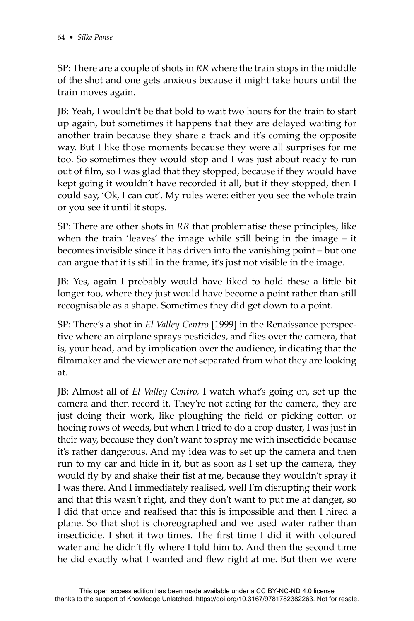SP: There are a couple of shots in *RR* where the train stops in the middle of the shot and one gets anxious because it might take hours until the train moves again.

JB: Yeah, I wouldn't be that bold to wait two hours for the train to start up again, but sometimes it happens that they are delayed waiting for another train because they share a track and it's coming the opposite way. But I like those moments because they were all surprises for me too. So sometimes they would stop and I was just about ready to run out of film, so I was glad that they stopped, because if they would have kept going it wouldn't have recorded it all, but if they stopped, then I could say, 'Ok, I can cut'. My rules were: either you see the whole train or you see it until it stops.

SP: There are other shots in *RR* that problematise these principles, like when the train 'leaves' the image while still being in the image – it becomes invisible since it has driven into the vanishing point – but one can argue that it is still in the frame, it's just not visible in the image.

JB: Yes, again I probably would have liked to hold these a little bit longer too, where they just would have become a point rather than still recognisable as a shape. Sometimes they did get down to a point.

SP: There's a shot in *El Valley Centro* [1999] in the Renaissance perspective where an airplane sprays pesticides, and flies over the camera, that is, your head, and by implication over the audience, indicating that the filmmaker and the viewer are not separated from what they are looking at.

JB: Almost all of *El Valley Centro,* I watch what's going on, set up the camera and then record it. They're not acting for the camera, they are just doing their work, like ploughing the field or picking cotton or hoeing rows of weeds, but when I tried to do a crop duster, I was just in their way, because they don't want to spray me with insecticide because it's rather dangerous. And my idea was to set up the camera and then run to my car and hide in it, but as soon as I set up the camera, they would fly by and shake their fist at me, because they wouldn't spray if I was there. And I immediately realised, well I'm disrupting their work and that this wasn't right, and they don't want to put me at danger, so I did that once and realised that this is impossible and then I hired a plane. So that shot is choreographed and we used water rather than insecticide. I shot it two times. The first time I did it with coloured water and he didn't fly where I told him to. And then the second time he did exactly what I wanted and flew right at me. But then we were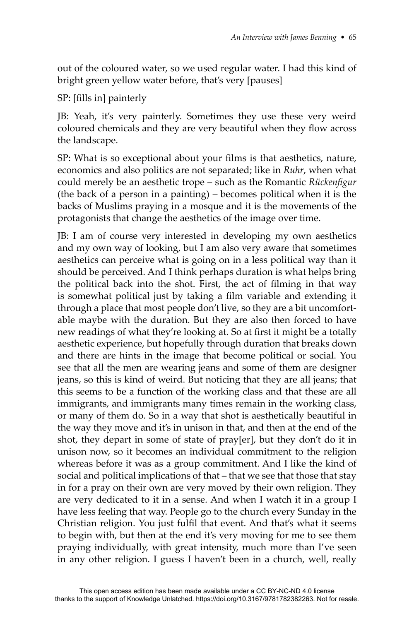out of the coloured water, so we used regular water. I had this kind of bright green yellow water before, that's very [pauses]

SP: [fills in] painterly

JB: Yeah, it's very painterly. Sometimes they use these very weird coloured chemicals and they are very beautiful when they flow across the landscape.

SP: What is so exceptional about your films is that aesthetics, nature, economics and also politics are not separated; like in *Ruhr*, when what could merely be an aesthetic trope – such as the Romantic *Rückenfigur* (the back of a person in a painting) *–* becomes political when it is the backs of Muslims praying in a mosque and it is the movements of the protagonists that change the aesthetics of the image over time.

JB: I am of course very interested in developing my own aesthetics and my own way of looking, but I am also very aware that sometimes aesthetics can perceive what is going on in a less political way than it should be perceived. And I think perhaps duration is what helps bring the political back into the shot. First, the act of filming in that way is somewhat political just by taking a film variable and extending it through a place that most people don't live, so they are a bit uncomfortable maybe with the duration. But they are also then forced to have new readings of what they're looking at. So at first it might be a totally aesthetic experience, but hopefully through duration that breaks down and there are hints in the image that become political or social. You see that all the men are wearing jeans and some of them are designer jeans, so this is kind of weird. But noticing that they are all jeans; that this seems to be a function of the working class and that these are all immigrants, and immigrants many times remain in the working class, or many of them do. So in a way that shot is aesthetically beautiful in the way they move and it's in unison in that, and then at the end of the shot, they depart in some of state of pray[er], but they don't do it in unison now, so it becomes an individual commitment to the religion whereas before it was as a group commitment. And I like the kind of social and political implications of that – that we see that those that stay in for a pray on their own are very moved by their own religion. They are very dedicated to it in a sense. And when I watch it in a group I have less feeling that way. People go to the church every Sunday in the Christian religion. You just fulfil that event. And that's what it seems to begin with, but then at the end it's very moving for me to see them praying individually, with great intensity, much more than I've seen in any other religion. I guess I haven't been in a church, well, really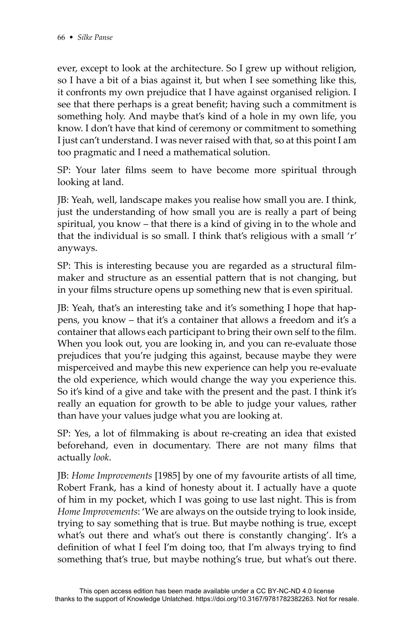ever, except to look at the architecture. So I grew up without religion, so I have a bit of a bias against it, but when I see something like this, it confronts my own prejudice that I have against organised religion. I see that there perhaps is a great benefit; having such a commitment is something holy. And maybe that's kind of a hole in my own life, you know. I don't have that kind of ceremony or commitment to something I just can't understand. I was never raised with that, so at this point I am too pragmatic and I need a mathematical solution.

SP: Your later films seem to have become more spiritual through looking at land.

JB: Yeah, well, landscape makes you realise how small you are. I think, just the understanding of how small you are is really a part of being spiritual, you know – that there is a kind of giving in to the whole and that the individual is so small. I think that's religious with a small 'r' anyways.

SP: This is interesting because you are regarded as a structural filmmaker and structure as an essential pattern that is not changing, but in your films structure opens up something new that is even spiritual.

JB: Yeah, that's an interesting take and it's something I hope that happens, you know – that it's a container that allows a freedom and it's a container that allows each participant to bring their own self to the film. When you look out, you are looking in, and you can re-evaluate those prejudices that you're judging this against, because maybe they were misperceived and maybe this new experience can help you re-evaluate the old experience, which would change the way you experience this. So it's kind of a give and take with the present and the past. I think it's really an equation for growth to be able to judge your values, rather than have your values judge what you are looking at.

SP: Yes, a lot of filmmaking is about re-creating an idea that existed beforehand, even in documentary. There are not many films that actually *look*.

JB: *Home Improvements* [1985] by one of my favourite artists of all time, Robert Frank, has a kind of honesty about it. I actually have a quote of him in my pocket, which I was going to use last night. This is from *Home Improvements*: 'We are always on the outside trying to look inside, trying to say something that is true. But maybe nothing is true, except what's out there and what's out there is constantly changing'. It's a definition of what I feel I'm doing too, that I'm always trying to find something that's true, but maybe nothing's true, but what's out there.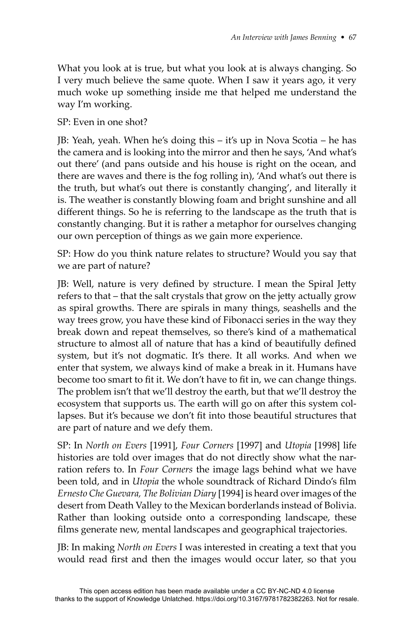What you look at is true, but what you look at is always changing. So I very much believe the same quote. When I saw it years ago, it very much woke up something inside me that helped me understand the way I'm working.

SP: Even in one shot?

JB: Yeah, yeah. When he's doing this – it's up in Nova Scotia – he has the camera and is looking into the mirror and then he says, 'And what's out there' (and pans outside and his house is right on the ocean, and there are waves and there is the fog rolling in), 'And what's out there is the truth, but what's out there is constantly changing', and literally it is. The weather is constantly blowing foam and bright sunshine and all different things. So he is referring to the landscape as the truth that is constantly changing. But it is rather a metaphor for ourselves changing our own perception of things as we gain more experience.

SP: How do you think nature relates to structure? Would you say that we are part of nature?

JB: Well, nature is very defined by structure. I mean the Spiral Jetty refers to that – that the salt crystals that grow on the jetty actually grow as spiral growths. There are spirals in many things, seashells and the way trees grow, you have these kind of Fibonacci series in the way they break down and repeat themselves, so there's kind of a mathematical structure to almost all of nature that has a kind of beautifully defined system, but it's not dogmatic. It's there. It all works. And when we enter that system, we always kind of make a break in it. Humans have become too smart to fit it. We don't have to fit in, we can change things. The problem isn't that we'll destroy the earth, but that we'll destroy the ecosystem that supports us. The earth will go on after this system collapses. But it's because we don't fit into those beautiful structures that are part of nature and we defy them.

SP: In *North on Evers* [1991], *Four Corners* [1997] and *Utopia* [1998] life histories are told over images that do not directly show what the narration refers to. In *Four Corners* the image lags behind what we have been told, and in *Utopia* the whole soundtrack of Richard Dindo's film *Ernesto Che Guevara, The Bolivian Diary* [1994] is heard over images of the desert from Death Valley to the Mexican borderlands instead of Bolivia. Rather than looking outside onto a corresponding landscape, these films generate new, mental landscapes and geographical trajectories.

JB: In making *North on Evers* I was interested in creating a text that you would read first and then the images would occur later, so that you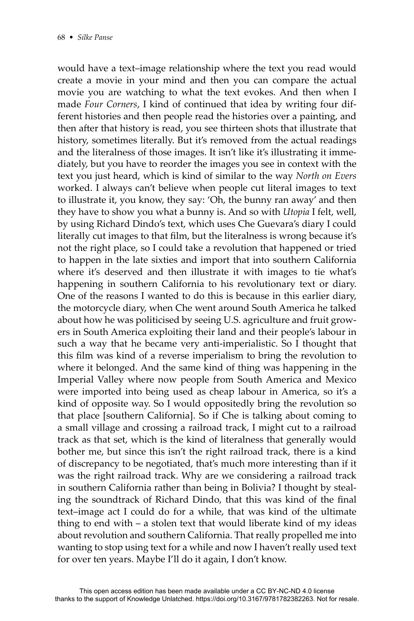would have a text–image relationship where the text you read would create a movie in your mind and then you can compare the actual movie you are watching to what the text evokes. And then when I made *Four Corners*, I kind of continued that idea by writing four different histories and then people read the histories over a painting, and then after that history is read, you see thirteen shots that illustrate that history, sometimes literally. But it's removed from the actual readings and the literalness of those images. It isn't like it's illustrating it immediately, but you have to reorder the images you see in context with the text you just heard, which is kind of similar to the way *North on Evers* worked. I always can't believe when people cut literal images to text to illustrate it, you know, they say: 'Oh, the bunny ran away' and then they have to show you what a bunny is. And so with *Utopia* I felt, well, by using Richard Dindo's text, which uses Che Guevara's diary I could literally cut images to that film, but the literalness is wrong because it's not the right place, so I could take a revolution that happened or tried to happen in the late sixties and import that into southern California where it's deserved and then illustrate it with images to tie what's happening in southern California to his revolutionary text or diary. One of the reasons I wanted to do this is because in this earlier diary, the motorcycle diary, when Che went around South America he talked about how he was politicised by seeing U.S. agriculture and fruit growers in South America exploiting their land and their people's labour in such a way that he became very anti-imperialistic. So I thought that this film was kind of a reverse imperialism to bring the revolution to where it belonged. And the same kind of thing was happening in the Imperial Valley where now people from South America and Mexico were imported into being used as cheap labour in America, so it's a kind of opposite way. So I would oppositedly bring the revolution so that place [southern California]. So if Che is talking about coming to a small village and crossing a railroad track, I might cut to a railroad track as that set, which is the kind of literalness that generally would bother me, but since this isn't the right railroad track, there is a kind of discrepancy to be negotiated, that's much more interesting than if it was the right railroad track. Why are we considering a railroad track in southern California rather than being in Bolivia? I thought by stealing the soundtrack of Richard Dindo, that this was kind of the final text–image act I could do for a while, that was kind of the ultimate thing to end with – a stolen text that would liberate kind of my ideas about revolution and southern California. That really propelled me into wanting to stop using text for a while and now I haven't really used text for over ten years. Maybe I'll do it again, I don't know.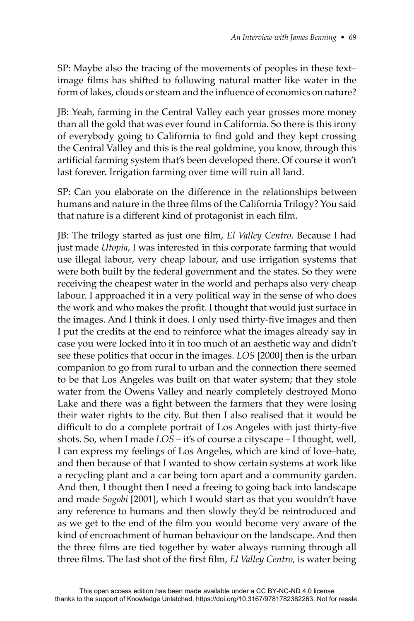SP: Maybe also the tracing of the movements of peoples in these text– image films has shifted to following natural matter like water in the form of lakes, clouds or steam and the influence of economics on nature?

JB: Yeah, farming in the Central Valley each year grosses more money than all the gold that was ever found in California. So there is this irony of everybody going to California to find gold and they kept crossing the Central Valley and this is the real goldmine, you know, through this artificial farming system that's been developed there. Of course it won't last forever. Irrigation farming over time will ruin all land.

SP: Can you elaborate on the difference in the relationships between humans and nature in the three films of the California Trilogy? You said that nature is a different kind of protagonist in each film.

JB: The trilogy started as just one film, *El Valley Centro*. Because I had just made *Utopia*, I was interested in this corporate farming that would use illegal labour, very cheap labour, and use irrigation systems that were both built by the federal government and the states. So they were receiving the cheapest water in the world and perhaps also very cheap labour. I approached it in a very political way in the sense of who does the work and who makes the profit. I thought that would just surface in the images. And I think it does. I only used thirty-five images and then I put the credits at the end to reinforce what the images already say in case you were locked into it in too much of an aesthetic way and didn't see these politics that occur in the images. *LOS* [2000] then is the urban companion to go from rural to urban and the connection there seemed to be that Los Angeles was built on that water system; that they stole water from the Owens Valley and nearly completely destroyed Mono Lake and there was a fight between the farmers that they were losing their water rights to the city. But then I also realised that it would be difficult to do a complete portrait of Los Angeles with just thirty-five shots. So, when I made *LOS –* it's of course a cityscape – I thought, well, I can express my feelings of Los Angeles, which are kind of love–hate, and then because of that I wanted to show certain systems at work like a recycling plant and a car being torn apart and a community garden. And then, I thought then I need a freeing to going back into landscape and made *Sogobi* [2001], which I would start as that you wouldn't have any reference to humans and then slowly they'd be reintroduced and as we get to the end of the film you would become very aware of the kind of encroachment of human behaviour on the landscape. And then the three films are tied together by water always running through all three films. The last shot of the first film, *El Valley Centro,* is water being